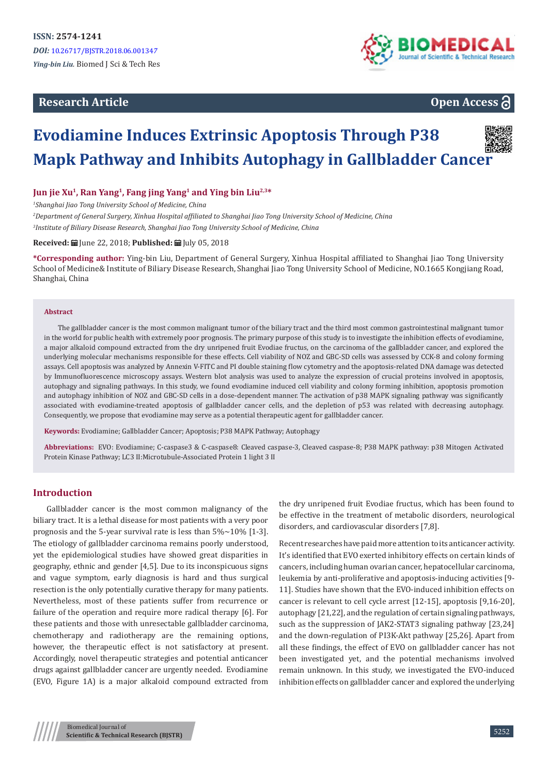# **Research Article**





# **Evodiamine Induces Extrinsic Apoptosis Through P38 Mapk Pathway and Inhibits Autophagy in Gallbladder Cancer**

**Jun jie Xu1, Ran Yang1, Fang jing Yang1 and Ying bin Liu2,3\***

*1 Shanghai Jiao Tong University School of Medicine, China*

*2 Department of General Surgery, Xinhua Hospital affiliated to Shanghai Jiao Tong University School of Medicine, China 3 Institute of Biliary Disease Research, Shanghai Jiao Tong University School of Medicine, China*

**Received:** | June 22, 2018: **Published:** | July 05, 2018

**\*Corresponding author:** Ying-bin Liu, Department of General Surgery, Xinhua Hospital affiliated to Shanghai Jiao Tong University School of Medicine& Institute of Biliary Disease Research, Shanghai Jiao Tong University School of Medicine, NO.1665 Kongjiang Road, Shanghai, China

#### **Abstract**

The gallbladder cancer is the most common malignant tumor of the biliary tract and the third most common gastrointestinal malignant tumor in the world for public health with extremely poor prognosis. The primary purpose of this study is to investigate the inhibition effects of evodiamine, a major alkaloid compound extracted from the dry unripened fruit Evodiae fructus, on the carcinoma of the gallbladder cancer, and explored the underlying molecular mechanisms responsible for these effects. Cell viability of NOZ and GBC-SD cells was assessed by CCK-8 and colony forming assays. Cell apoptosis was analyzed by Annexin V-FITC and PI double staining flow cytometry and the apoptosis-related DNA damage was detected by Immunofluorescence microscopy assays. Western blot analysis was used to analyze the expression of crucial proteins involved in apoptosis, autophagy and signaling pathways. In this study, we found evodiamine induced cell viability and colony forming inhibition, apoptosis promotion and autophagy inhibition of NOZ and GBC-SD cells in a dose-dependent manner. The activation of p38 MAPK signaling pathway was significantly associated with evodiamine-treated apoptosis of gallbladder cancer cells, and the depletion of p53 was related with decreasing autophagy. Consequently, we propose that evodiamine may serve as a potential therapeutic agent for gallbladder cancer.

**Keywords:** Evodiamine; Gallbladder Cancer; Apoptosis; P38 MAPK Pathway; Autophagy

**Abbreviations:** EVO: Evodiamine; C-caspase3 & C-caspase8: Cleaved caspase-3, Cleaved caspase-8; P38 MAPK pathway: p38 Mitogen Activated Protein Kinase Pathway; LC3 II:Microtubule-Associated Protein 1 light 3 II

#### **Introduction**

Gallbladder cancer is the most common malignancy of the biliary tract. It is a lethal disease for most patients with a very poor prognosis and the 5-year survival rate is less than  $5\% \sim 10\%$  [1-3]. The etiology of gallbladder carcinoma remains poorly understood, yet the epidemiological studies have showed great disparities in geography, ethnic and gender [4,5]. Due to its inconspicuous signs and vague symptom, early diagnosis is hard and thus surgical resection is the only potentially curative therapy for many patients. Nevertheless, most of these patients suffer from recurrence or failure of the operation and require more radical therapy [6]. For these patients and those with unresectable gallbladder carcinoma, chemotherapy and radiotherapy are the remaining options, however, the therapeutic effect is not satisfactory at present. Accordingly, novel therapeutic strategies and potential anticancer drugs against gallbladder cancer are urgently needed. Evodiamine (EVO, Figure 1A) is a major alkaloid compound extracted from

the dry unripened fruit Evodiae fructus, which has been found to be effective in the treatment of metabolic disorders, neurological disorders, and cardiovascular disorders [7,8].

Recent researches have paid more attention to its anticancer activity. It's identified that EVO exerted inhibitory effects on certain kinds of cancers, including human ovarian cancer, hepatocellular carcinoma, leukemia by anti-proliferative and apoptosis-inducing activities [9- 11]. Studies have shown that the EVO-induced inhibition effects on cancer is relevant to cell cycle arrest [12-15], apoptosis [9,16-20], autophagy [21,22], and the regulation of certain signaling pathways, such as the suppression of JAK2-STAT3 signaling pathway [23,24] and the down-regulation of PI3K-Akt pathway [25,26]. Apart from all these findings, the effect of EVO on gallbladder cancer has not been investigated yet, and the potential mechanisms involved remain unknown. In this study, we investigated the EVO-induced inhibition effects on gallbladder cancer and explored the underlying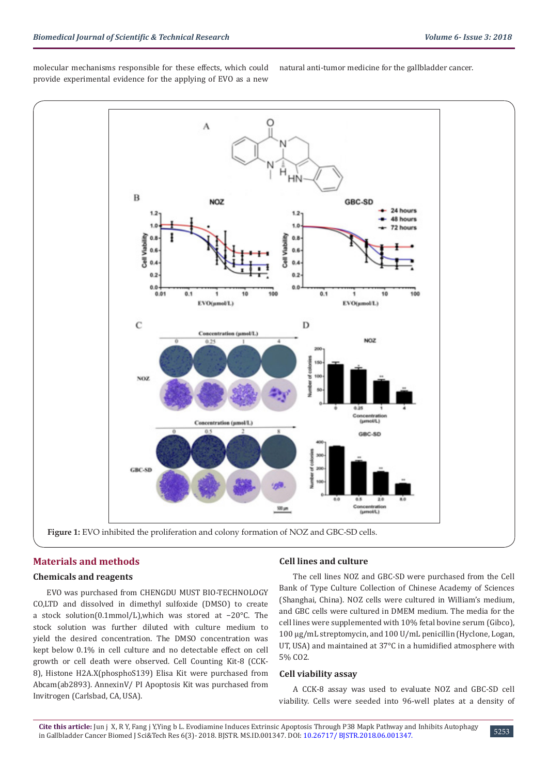molecular mechanisms responsible for these effects, which could provide experimental evidence for the applying of EVO as a new

natural anti-tumor medicine for the gallbladder cancer.



# **Materials and methods**

#### **Chemicals and reagents**

EVO was purchased from CHENGDU MUST BIO-TECHNOLOGY CO,LTD and dissolved in dimethyl sulfoxide (DMSO) to create a stock solution(0.1mmol/L),which was stored at −20°C. The stock solution was further diluted with culture medium to yield the desired concentration. The DMSO concentration was kept below 0.1% in cell culture and no detectable effect on cell growth or cell death were observed. Cell Counting Kit-8 (CCK-8), Histone H2A.X(phosphoS139) Elisa Kit were purchased from Abcam(ab2893). AnnexinV/ PI Apoptosis Kit was purchased from Invitrogen (Carlsbad, CA, USA).

#### **Cell lines and culture**

The cell lines NOZ and GBC-SD were purchased from the Cell Bank of Type Culture Collection of Chinese Academy of Sciences (Shanghai, China). NOZ cells were cultured in William's medium, and GBC cells were cultured in DMEM medium. The media for the cell lines were supplemented with 10% fetal bovine serum (Gibco), 100 μg/mL streptomycin, and 100 U/mL penicillin (Hyclone, Logan, UT, USA) and maintained at 37°C in a humidified atmosphere with 5% CO2.

#### **Cell viability assay**

A CCK-8 assay was used to evaluate NOZ and GBC-SD cell viability. Cells were seeded into 96-well plates at a density of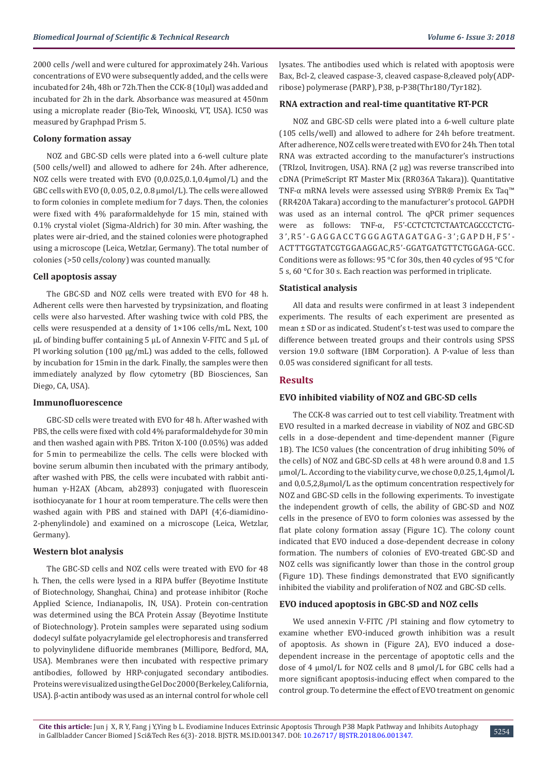2000 cells /well and were cultured for approximately 24h. Various concentrations of EVO were subsequently added, and the cells were incubated for 24h, 48h or 72h.Then the CCK-8 (10μl) was added and incubated for 2h in the dark. Absorbance was measured at 450nm using a microplate reader (Bio-Tek, Winooski, VT, USA). IC50 was measured by Graphpad Prism 5.

#### **Colony formation assay**

NOZ and GBC-SD cells were plated into a 6-well culture plate (500 cells/well) and allowed to adhere for 24h. After adherence, NOZ cells were treated with EVO (0,0.025,0.1,0.4μmol/L) and the GBC cells with EVO (0, 0.05, 0.2, 0.8 μmol/L). The cells were allowed to form colonies in complete medium for 7 days. Then, the colonies were fixed with 4% paraformaldehyde for 15 min, stained with 0.1% crystal violet (Sigma-Aldrich) for 30 min. After washing, the plates were air-dried, and the stained colonies were photographed using a microscope (Leica, Wetzlar, Germany). The total number of colonies (>50 cells/colony) was counted manually.

# **Cell apoptosis assay**

The GBC-SD and NOZ cells were treated with EVO for 48 h. Adherent cells were then harvested by trypsinization, and floating cells were also harvested. After washing twice with cold PBS, the cells were resuspended at a density of 1×106 cells/mL. Next, 100 μL of binding buffer containing 5 μL of Annexin V-FITC and 5 μL of PI working solution (100 μg/mL) was added to the cells, followed by incubation for 15min in the dark. Finally, the samples were then immediately analyzed by flow cytometry (BD Biosciences, San Diego, CA, USA).

#### **Immunofluorescence**

GBC-SD cells were treated with EVO for 48 h. After washed with PBS, the cells were fixed with cold 4% paraformaldehyde for 30 min and then washed again with PBS. Triton X-100 (0.05%) was added for 5 min to permeabilize the cells. The cells were blocked with bovine serum albumin then incubated with the primary antibody, after washed with PBS, the cells were incubated with rabbit antihuman γ-H2AX (Abcam, ab2893) conjugated with fluorescein isothiocyanate for 1 hour at room temperature. The cells were then washed again with PBS and stained with DAPI (4',6-diamidino-2-phenylindole) and examined on a microscope (Leica, Wetzlar, Germany).

## **Western blot analysis**

The GBC-SD cells and NOZ cells were treated with EVO for 48 h. Then, the cells were lysed in a RIPA buffer (Beyotime Institute of Biotechnology, Shanghai, China) and protease inhibitor (Roche Applied Science, Indianapolis, IN, USA). Protein con-centration was determined using the BCA Protein Assay (Beyotime Institute of Biotechnology). Protein samples were separated using sodium dodecyl sulfate polyacrylamide gel electrophoresis and transferred to polyvinylidene difluoride membranes (Millipore, Bedford, MA, USA). Membranes were then incubated with respective primary antibodies, followed by HRP-conjugated secondary antibodies. Proteins were visualized using the Gel Doc 2000 (Berkeley, California, USA). β-actin antibody was used as an internal control for whole cell

lysates. The antibodies used which is related with apoptosis were Bax, Bcl-2, cleaved caspase-3, cleaved caspase-8,cleaved poly(ADPribose) polymerase (PARP), P38, p-P38(Thr180/Tyr182).

#### **RNA extraction and real-time quantitative RT-PCR**

NOZ and GBC-SD cells were plated into a 6-well culture plate (105 cells/well) and allowed to adhere for 24h before treatment. After adherence, NOZ cells were treated with EVO for 24h. Then total RNA was extracted according to the manufacturer's instructions (TRIzol, Invitrogen, USA). RNA (2 μg) was reverse transcribed into cDNA (PrimeScript RT Master Mix (RR036A Takara)). Quantitative TNF-α mRNA levels were assessed using SYBR® Premix Ex Taq™ (RR420A Takara) according to the manufacturer's protocol. GAPDH was used as an internal control. The qPCR primer sequences were as follows: TNF-α, F5'-CCTCTCTCTAATCAGCCCTCTG-3',R5'-GAGGACCTGGGAGTAGATGAG-3';GAPDH,F5'- ACTTTGGTATCGTGGAAGGAC,R5'-GGATGATGTTCTGGAGA-GCC. Conditions were as follows: 95 °C for 30s, then 40 cycles of 95 °C for 5 s, 60 °C for 30 s. Each reaction was performed in triplicate.

#### **Statistical analysis**

All data and results were confirmed in at least 3 independent experiments. The results of each experiment are presented as mean ± SD or as indicated. Student's t-test was used to compare the difference between treated groups and their controls using SPSS version 19.0 software (IBM Corporation). A P-value of less than 0.05 was considered significant for all tests.

## **Results**

## **EVO inhibited viability of NOZ and GBC-SD cells**

The CCK-8 was carried out to test cell viability. Treatment with EVO resulted in a marked decrease in viability of NOZ and GBC-SD cells in a dose-dependent and time-dependent manner (Figure 1B). The IC50 values (the concentration of drug inhibiting 50% of the cells) of NOZ and GBC-SD cells at 48 h were around 0.8 and 1.5 μmol/L. According to the viability curve, we chose 0,0.25,1,4μmol/L and 0,0.5,2,8μmol/L as the optimum concentration respectively for NOZ and GBC-SD cells in the following experiments. To investigate the independent growth of cells, the ability of GBC-SD and NOZ cells in the presence of EVO to form colonies was assessed by the flat plate colony formation assay (Figure 1C). The colony count indicated that EVO induced a dose-dependent decrease in colony formation. The numbers of colonies of EVO-treated GBC-SD and NOZ cells was significantly lower than those in the control group (Figure 1D). These findings demonstrated that EVO significantly inhibited the viability and proliferation of NOZ and GBC-SD cells.

## **EVO induced apoptosis in GBC-SD and NOZ cells**

We used annexin V-FITC /PI staining and flow cytometry to examine whether EVO-induced growth inhibition was a result of apoptosis. As shown in (Figure 2A), EVO induced a dosedependent increase in the percentage of apoptotic cells and the dose of 4 μmol/L for NOZ cells and 8 μmol/L for GBC cells had a more significant apoptosis-inducing effect when compared to the control group. To determine the effect of EVO treatment on genomic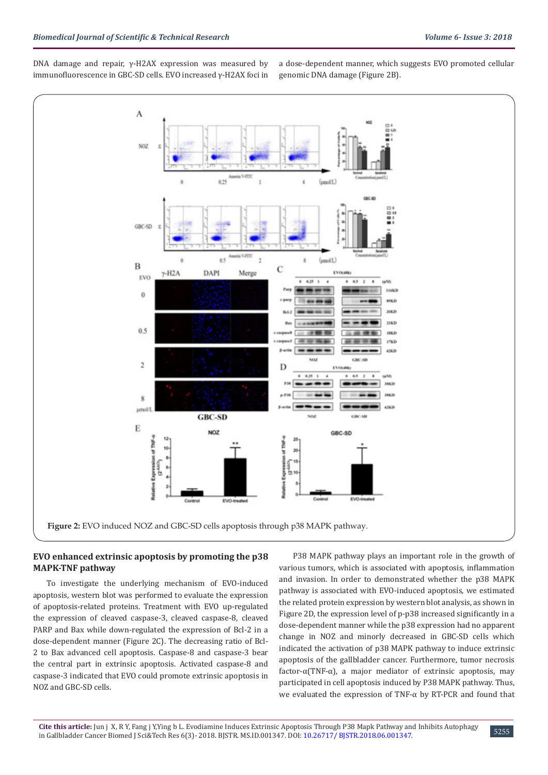DNA damage and repair, γ-H2AX expression was measured by immunofluorescence in GBC-SD cells. EVO increased γ-H2AX foci in a dose-dependent manner, which suggests EVO promoted cellular genomic DNA damage (Figure 2B).



## **EVO enhanced extrinsic apoptosis by promoting the p38 MAPK-TNF pathway**

To investigate the underlying mechanism of EVO-induced apoptosis, western blot was performed to evaluate the expression of apoptosis-related proteins. Treatment with EVO up-regulated the expression of cleaved caspase-3, cleaved caspase-8, cleaved PARP and Bax while down-regulated the expression of Bcl-2 in a dose-dependent manner (Figure 2C). The decreasing ratio of Bcl-2 to Bax advanced cell apoptosis. Caspase-8 and caspase-3 bear the central part in extrinsic apoptosis. Activated caspase-8 and caspase-3 indicated that EVO could promote extrinsic apoptosis in NOZ and GBC-SD cells.

P38 MAPK pathway plays an important role in the growth of various tumors, which is associated with apoptosis, inflammation and invasion. In order to demonstrated whether the p38 MAPK pathway is associated with EVO-induced apoptosis, we estimated the related protein expression by western blot analysis, as shown in Figure 2D, the expression level of p-p38 increased significantly in a dose-dependent manner while the p38 expression had no apparent change in NOZ and minorly decreased in GBC-SD cells which indicated the activation of p38 MAPK pathway to induce extrinsic apoptosis of the gallbladder cancer. Furthermore, tumor necrosis factor-α(TNF-α), a major mediator of extrinsic apoptosis, may participated in cell apoptosis induced by P38 MAPK pathway. Thus, we evaluated the expression of TNF-α by RT-PCR and found that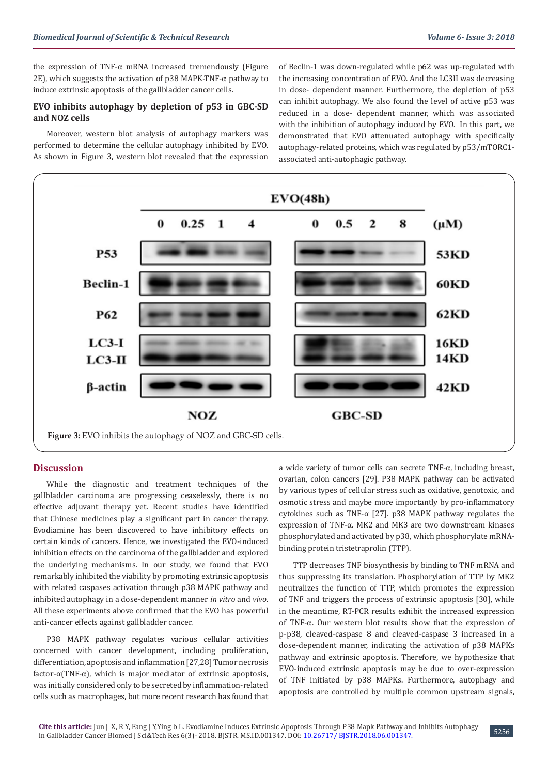the expression of TNF- $\alpha$  mRNA increased tremendously (Figure 2E), which suggests the activation of p38 MAPK-TNF-α pathway to induce extrinsic apoptosis of the gallbladder cancer cells.

## **EVO inhibits autophagy by depletion of p53 in GBC-SD and NOZ cells**

Moreover, western blot analysis of autophagy markers was performed to determine the cellular autophagy inhibited by EVO. As shown in Figure 3, western blot revealed that the expression of Beclin-1 was down-regulated while p62 was up-regulated with the increasing concentration of EVO. And the LC3II was decreasing in dose- dependent manner. Furthermore, the depletion of p53 can inhibit autophagy. We also found the level of active p53 was reduced in a dose- dependent manner, which was associated with the inhibition of autophagy induced by EVO. In this part, we demonstrated that EVO attenuated autophagy with specifically autophagy-related proteins, which was regulated by p53/mTORC1 associated anti-autophagic pathway.



## **Discussion**

While the diagnostic and treatment techniques of the gallbladder carcinoma are progressing ceaselessly, there is no effective adjuvant therapy yet. Recent studies have identified that Chinese medicines play a significant part in cancer therapy. Evodiamine has been discovered to have inhibitory effects on certain kinds of cancers. Hence, we investigated the EVO-induced inhibition effects on the carcinoma of the gallbladder and explored the underlying mechanisms. In our study, we found that EVO remarkably inhibited the viability by promoting extrinsic apoptosis with related caspases activation through p38 MAPK pathway and inhibited autophagy in a dose-dependent manner *in vitro* and *vivo*. All these experiments above confirmed that the EVO has powerful anti-cancer effects against gallbladder cancer.

P38 MAPK pathway regulates various cellular activities concerned with cancer development, including proliferation, differentiation, apoptosis and inflammation [27,28] Tumor necrosis factor-α(TNF-α), which is major mediator of extrinsic apoptosis, was initially considered only to be secreted by inflammation-related cells such as macrophages, but more recent research has found that

a wide variety of tumor cells can secrete TNF-α, including breast, ovarian, colon cancers [29]. P38 MAPK pathway can be activated by various types of cellular stress such as oxidative, genotoxic, and osmotic stress and maybe more importantly by pro-inflammatory cytokines such as TNF-α [27]. p38 MAPK pathway regulates the expression of TNF-α. MK2 and MK3 are two downstream kinases phosphorylated and activated by p38, which phosphorylate mRNAbinding protein tristetraprolin (TTP).

TTP decreases TNF biosynthesis by binding to TNF mRNA and thus suppressing its translation. Phosphorylation of TTP by MK2 neutralizes the function of TTP, which promotes the expression of TNF and triggers the process of extrinsic apoptosis [30], while in the meantime, RT-PCR results exhibit the increased expression of TNF-α. Our western blot results show that the expression of p-p38, cleaved-caspase 8 and cleaved-caspase 3 increased in a dose-dependent manner, indicating the activation of p38 MAPKs pathway and extrinsic apoptosis. Therefore, we hypothesize that EVO-induced extrinsic apoptosis may be due to over-expression of TNF initiated by p38 MAPKs. Furthermore, autophagy and apoptosis are controlled by multiple common upstream signals,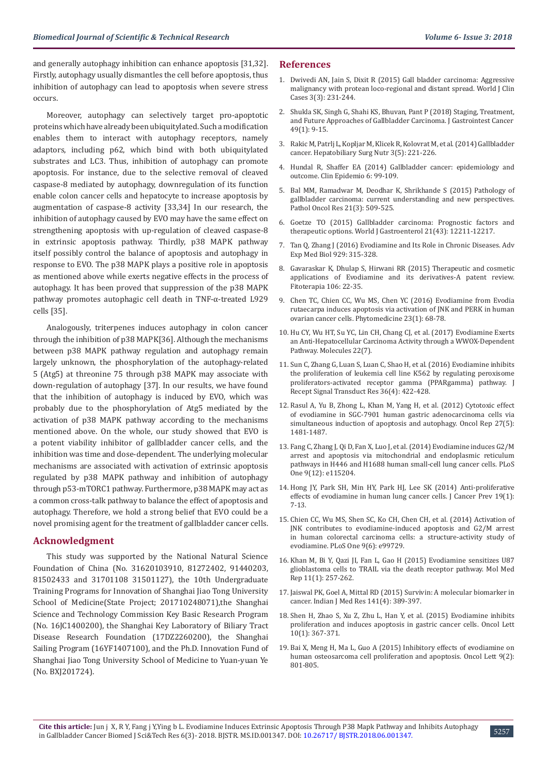and generally autophagy inhibition can enhance apoptosis [31,32]. Firstly, autophagy usually dismantles the cell before apoptosis, thus inhibition of autophagy can lead to apoptosis when severe stress occurs.

Moreover, autophagy can selectively target pro-apoptotic proteins which have already been ubiquitylated. Such a modification enables them to interact with autophagy receptors, namely adaptors, including p62, which bind with both ubiquitylated substrates and LC3. Thus, inhibition of autophagy can promote apoptosis. For instance, due to the selective removal of cleaved caspase-8 mediated by autophagy, downregulation of its function enable colon cancer cells and hepatocyte to increase apoptosis by augmentation of caspase-8 activity [33,34] In our research, the inhibition of autophagy caused by EVO may have the same effect on strengthening apoptosis with up-regulation of cleaved caspase-8 in extrinsic apoptosis pathway. Thirdly, p38 MAPK pathway itself possibly control the balance of apoptosis and autophagy in response to EVO. The p38 MAPK plays a positive role in apoptosis as mentioned above while exerts negative effects in the process of autophagy. It has been proved that suppression of the p38 MAPK pathway promotes autophagic cell death in TNF-α-treated L929 cells [35].

Analogously, triterpenes induces autophagy in colon cancer through the inhibition of p38 MAPK[36]. Although the mechanisms between p38 MAPK pathway regulation and autophagy remain largely unknown, the phosphorylation of the autophagy-related 5 (Atg5) at threonine 75 through p38 MAPK may associate with down-regulation of autophagy [37]. In our results, we have found that the inhibition of autophagy is induced by EVO, which was probably due to the phosphorylation of Atg5 mediated by the activation of p38 MAPK pathway according to the mechanisms mentioned above. On the whole, our study showed that EVO is a potent viability inhibitor of gallbladder cancer cells, and the inhibition was time and dose-dependent. The underlying molecular mechanisms are associated with activation of extrinsic apoptosis regulated by p38 MAPK pathway and inhibition of autophagy through p53-mTORC1 pathway. Furthermore, p38 MAPK may act as a common cross-talk pathway to balance the effect of apoptosis and autophagy. Therefore, we hold a strong belief that EVO could be a novel promising agent for the treatment of gallbladder cancer cells.

#### **Acknowledgment**

This study was supported by the National Natural Science Foundation of China (No. 31620103910, 81272402, 91440203, 81502433 and 31701108 31501127), the 10th Undergraduate Training Programs for Innovation of Shanghai Jiao Tong University School of Medicine(State Project; 201710248071),the Shanghai Science and Technology Commission Key Basic Research Program (No. 16JC1400200), the Shanghai Key Laboratory of Biliary Tract Disease Research Foundation (17DZ2260200), the Shanghai Sailing Program (16YF1407100), and the Ph.D. Innovation Fund of Shanghai Jiao Tong University School of Medicine to Yuan-yuan Ye (No. BXJ201724).

#### **References**

- 1. [Dwivedi AN, Jain S, Dixit R \(2015\) Gall bladder carcinoma: Aggressive](https://www.ncbi.nlm.nih.gov/pubmed/25789296) [malignancy with protean loco-regional and distant spread. World J Clin](https://www.ncbi.nlm.nih.gov/pubmed/25789296) [Cases 3\(3\): 231-244.](https://www.ncbi.nlm.nih.gov/pubmed/25789296)
- 2. [Shukla SK, Singh G, Shahi KS, Bhuvan, Pant P \(2018\) Staging, Treatment,](https://www.ncbi.nlm.nih.gov/pubmed/29234972) [and Future Approaches of Gallbladder Carcinoma. J Gastrointest Cancer](https://www.ncbi.nlm.nih.gov/pubmed/29234972)  [49\(1\): 9-15.](https://www.ncbi.nlm.nih.gov/pubmed/29234972)
- 3. [Rakic M, Patrlj L, Kopljar M, Klicek R, Kolovrat M, et al. \(2014\) Gallbladder](https://www.ncbi.nlm.nih.gov/pubmed/25392833) [cancer. Hepatobiliary Surg Nutr 3\(5\): 221-226.](https://www.ncbi.nlm.nih.gov/pubmed/25392833)
- 4. [Hundal R, Shaffer EA \(2014\) Gallbladder cancer: epidemiology and](https://www.ncbi.nlm.nih.gov/pubmed/24634588) [outcome. Clin Epidemio 6: 99-109.](https://www.ncbi.nlm.nih.gov/pubmed/24634588)
- 5. [Bal MM, Ramadwar M, Deodhar K, Shrikhande S \(2015\) Pathology of](https://www.ncbi.nlm.nih.gov/pubmed/25618479) [gallbladder carcinoma: current understanding and new perspectives.](https://www.ncbi.nlm.nih.gov/pubmed/25618479) [Pathol Oncol Res 21\(3\): 509-525.](https://www.ncbi.nlm.nih.gov/pubmed/25618479)
- 6. [Goetze TO \(2015\) Gallbladder carcinoma: Prognostic factors and](https://www.ncbi.nlm.nih.gov/pubmed/26604631) [therapeutic options. World J Gastroenterol 21\(43\): 12211-12217.](https://www.ncbi.nlm.nih.gov/pubmed/26604631)
- 7. [Tan Q, Zhang J \(2016\) Evodiamine and Its Role in Chronic Diseases. Adv](https://www.ncbi.nlm.nih.gov/pubmed/27771931) [Exp Med Biol 929: 315-328.](https://www.ncbi.nlm.nih.gov/pubmed/27771931)
- 8. [Gavaraskar K, Dhulap S, Hirwani RR \(2015\) Therapeutic and cosmetic](https://www.ncbi.nlm.nih.gov/pubmed/26255828) [applications of Evodiamine and its derivatives-A patent review.](https://www.ncbi.nlm.nih.gov/pubmed/26255828) [Fitoterapia 106: 22-35.](https://www.ncbi.nlm.nih.gov/pubmed/26255828)
- 9. [Chen TC, Chien CC, Wu MS, Chen YC \(2016\) Evodiamine from Evodia](https://www.sciencedirect.com/science/article/pii/S0944711315003748) [rutaecarpa induces apoptosis via activation of JNK and PERK in human](https://www.sciencedirect.com/science/article/pii/S0944711315003748) [ovarian cancer cells. Phytomedicine 23\(1\): 68-78.](https://www.sciencedirect.com/science/article/pii/S0944711315003748)
- 10. [Hu CY, Wu HT, Su YC, Lin CH, Chang CJ, et al. \(2017\) Evodiamine Exerts](https://www.ncbi.nlm.nih.gov/pubmed/28708106) [an Anti-Hepatocellular Carcinoma Activity through a WWOX-Dependent](https://www.ncbi.nlm.nih.gov/pubmed/28708106) [Pathway. Molecules 22\(7\).](https://www.ncbi.nlm.nih.gov/pubmed/28708106)
- 11. [Sun C, Zhang G, Luan S, Luan C, Shao H, et al. \(2016\) Evodiamine inhibits](https://www.ncbi.nlm.nih.gov/pubmed/26671528) [the proliferation of leukemia cell line K562 by regulating peroxisome](https://www.ncbi.nlm.nih.gov/pubmed/26671528) [proliferators-activated receptor gamma \(PPARgamma\) pathway. J](https://www.ncbi.nlm.nih.gov/pubmed/26671528) [Recept Signal Transduct Res 36\(4\): 422-428.](https://www.ncbi.nlm.nih.gov/pubmed/26671528)
- 12. [Rasul A, Yu B, Zhong L, Khan M, Yang H, et al. \(2012\) Cytotoxic effect](https://www.ncbi.nlm.nih.gov/pubmed/22367117) [of evodiamine in SGC-7901 human gastric adenocarcinoma cells via](https://www.ncbi.nlm.nih.gov/pubmed/22367117) [simultaneous induction of apoptosis and autophagy. Oncol Rep 27\(5\):](https://www.ncbi.nlm.nih.gov/pubmed/22367117) [1481-1487.](https://www.ncbi.nlm.nih.gov/pubmed/22367117)
- 13. [Fang C, Zhang J, Qi D, Fan X, Luo J, et al. \(2014\) Evodiamine induces G2/M](http://journals.plos.org/plosone/article?id=10.1371/journal.pone.0115204) [arrest and apoptosis via mitochondrial and endoplasmic reticulum](http://journals.plos.org/plosone/article?id=10.1371/journal.pone.0115204) [pathways in H446 and H1688 human small-cell lung cancer cells. PLoS](http://journals.plos.org/plosone/article?id=10.1371/journal.pone.0115204) [One 9\(12\): e115204.](http://journals.plos.org/plosone/article?id=10.1371/journal.pone.0115204)
- 14. [Hong JY, Park SH, Min HY, Park HJ, Lee SK \(2014\) Anti-proliferative](https://www.ncbi.nlm.nih.gov/pubmed/25337567) [effects of evodiamine in human lung cancer cells. J Cancer Prev 19\(1\):](https://www.ncbi.nlm.nih.gov/pubmed/25337567) [7-13.](https://www.ncbi.nlm.nih.gov/pubmed/25337567)
- 15. [Chien CC, Wu MS, Shen SC, Ko CH, Chen CH, et al. \(2014\) Activation of](http://journals.plos.org/plosone/article?id=10.1371/journal.pone.0099729) [JNK contributes to evodiamine-induced apoptosis and G2/M arrest](http://journals.plos.org/plosone/article?id=10.1371/journal.pone.0099729) [in human colorectal carcinoma cells: a structure-activity study of](http://journals.plos.org/plosone/article?id=10.1371/journal.pone.0099729) [evodiamine. PLoS One 9\(6\): e99729.](http://journals.plos.org/plosone/article?id=10.1371/journal.pone.0099729)
- 16. [Khan M, Bi Y, Qazi JI, Fan L, Gao H \(2015\) Evodiamine sensitizes U87](https://www.ncbi.nlm.nih.gov/pubmed/25333675) [glioblastoma cells to TRAIL via the death receptor pathway. Mol Med](https://www.ncbi.nlm.nih.gov/pubmed/25333675) [Rep 11\(1\): 257-262.](https://www.ncbi.nlm.nih.gov/pubmed/25333675)
- 17. [Jaiswal PK, Goel A, Mittal RD \(2015\) Survivin: A molecular biomarker in](https://www.ncbi.nlm.nih.gov/pubmed/26112839) [cancer. Indian J Med Res 141\(4\): 389-397.](https://www.ncbi.nlm.nih.gov/pubmed/26112839)
- 18. [Shen H, Zhao S, Xu Z, Zhu L, Han Y, et al. \(2015\) Evodiamine inhibits](https://www.ncbi.nlm.nih.gov/pubmed/26171032) [proliferation and induces apoptosis in gastric cancer cells. Oncol Lett](https://www.ncbi.nlm.nih.gov/pubmed/26171032) [10\(1\): 367-371.](https://www.ncbi.nlm.nih.gov/pubmed/26171032)
- 19. [Bai X, Meng H, Ma L, Guo A \(2015\) Inhibitory effects of evodiamine on](https://www.ncbi.nlm.nih.gov/pubmed/25621054) [human osteosarcoma cell proliferation and apoptosis. Oncol Lett 9\(2\):](https://www.ncbi.nlm.nih.gov/pubmed/25621054) [801-805.](https://www.ncbi.nlm.nih.gov/pubmed/25621054)